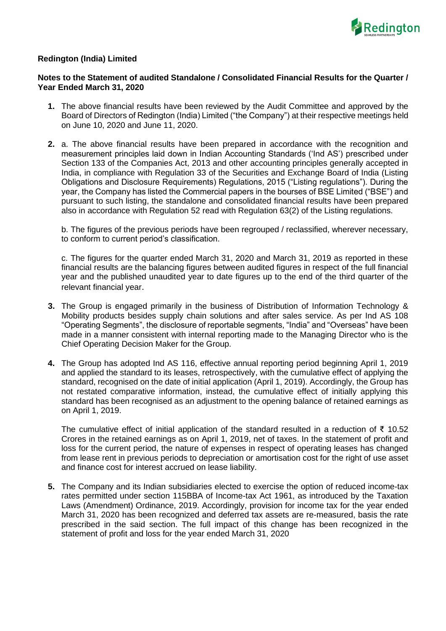

## **Redington (India) Limited**

## **Notes to the Statement of audited Standalone / Consolidated Financial Results for the Quarter / Year Ended March 31, 2020**

- **1.** The above financial results have been reviewed by the Audit Committee and approved by the Board of Directors of Redington (India) Limited ("the Company") at their respective meetings held on June 10, 2020 and June 11, 2020.
- **2.** a. The above financial results have been prepared in accordance with the recognition and measurement principles laid down in Indian Accounting Standards ('Ind AS') prescribed under Section 133 of the Companies Act, 2013 and other accounting principles generally accepted in India, in compliance with Regulation 33 of the Securities and Exchange Board of India (Listing Obligations and Disclosure Requirements) Regulations, 2015 ("Listing regulations"). During the year, the Company has listed the Commercial papers in the bourses of BSE Limited ("BSE") and pursuant to such listing, the standalone and consolidated financial results have been prepared also in accordance with Regulation 52 read with Regulation 63(2) of the Listing regulations.

b. The figures of the previous periods have been regrouped / reclassified, wherever necessary, to conform to current period's classification.

c. The figures for the quarter ended March 31, 2020 and March 31, 2019 as reported in these financial results are the balancing figures between audited figures in respect of the full financial year and the published unaudited year to date figures up to the end of the third quarter of the relevant financial year.

- **3.** The Group is engaged primarily in the business of Distribution of Information Technology & Mobility products besides supply chain solutions and after sales service. As per Ind AS 108 "Operating Segments", the disclosure of reportable segments, "India" and "Overseas" have been made in a manner consistent with internal reporting made to the Managing Director who is the Chief Operating Decision Maker for the Group.
- **4.** The Group has adopted Ind AS 116, effective annual reporting period beginning April 1, 2019 and applied the standard to its leases, retrospectively, with the cumulative effect of applying the standard, recognised on the date of initial application (April 1, 2019). Accordingly, the Group has not restated comparative information, instead, the cumulative effect of initially applying this standard has been recognised as an adjustment to the opening balance of retained earnings as on April 1, 2019.

The cumulative effect of initial application of the standard resulted in a reduction of ₹ 10.52 Crores in the retained earnings as on April 1, 2019, net of taxes. In the statement of profit and loss for the current period, the nature of expenses in respect of operating leases has changed from lease rent in previous periods to depreciation or amortisation cost for the right of use asset and finance cost for interest accrued on lease liability.

**5.** The Company and its Indian subsidiaries elected to exercise the option of reduced income-tax rates permitted under section 115BBA of Income-tax Act 1961, as introduced by the Taxation Laws (Amendment) Ordinance, 2019. Accordingly, provision for income tax for the year ended March 31, 2020 has been recognized and deferred tax assets are re-measured, basis the rate prescribed in the said section. The full impact of this change has been recognized in the statement of profit and loss for the year ended March 31, 2020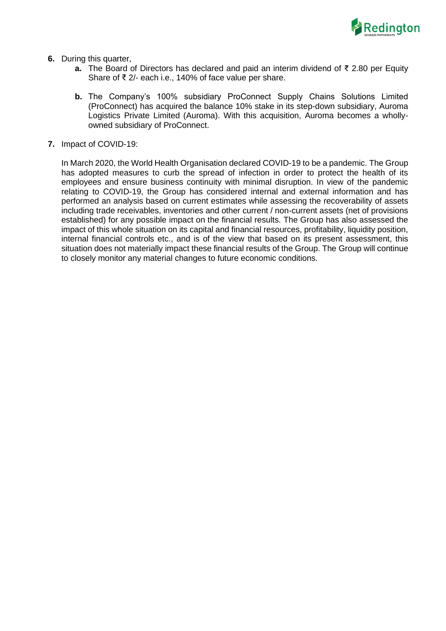

- **6.** During this quarter,
	- **a.** The Board of Directors has declared and paid an interim dividend of ₹ 2.80 per Equity Share of ₹ 2/- each i.e., 140% of face value per share.
	- **b.** The Company's 100% subsidiary ProConnect Supply Chains Solutions Limited (ProConnect) has acquired the balance 10% stake in its step-down subsidiary, Auroma Logistics Private Limited (Auroma). With this acquisition, Auroma becomes a whollyowned subsidiary of ProConnect.
- **7.** Impact of COVID-19:

In March 2020, the World Health Organisation declared COVID-19 to be a pandemic. The Group has adopted measures to curb the spread of infection in order to protect the health of its employees and ensure business continuity with minimal disruption. In view of the pandemic relating to COVID-19, the Group has considered internal and external information and has performed an analysis based on current estimates while assessing the recoverability of assets including trade receivables, inventories and other current / non-current assets (net of provisions established) for any possible impact on the financial results. The Group has also assessed the impact of this whole situation on its capital and financial resources, profitability, liquidity position, internal financial controls etc., and is of the view that based on its present assessment, this situation does not materially impact these financial results of the Group. The Group will continue to closely monitor any material changes to future economic conditions.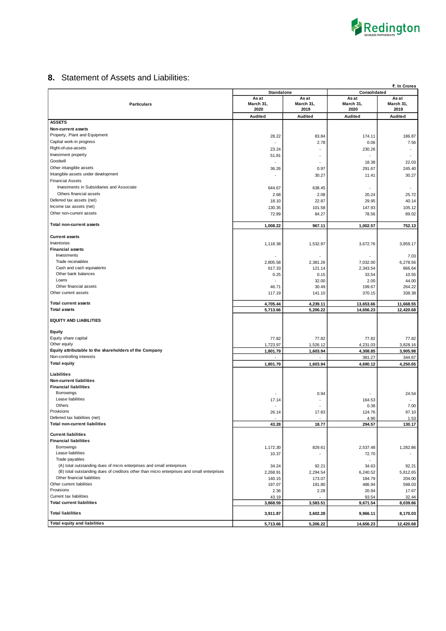

## **8.** Statement of Assets and Liabilities:

|                                                                                            | ₹. In Crores                                             |                 |                                |                   |  |
|--------------------------------------------------------------------------------------------|----------------------------------------------------------|-----------------|--------------------------------|-------------------|--|
|                                                                                            | <b>Standalone</b>                                        |                 | Consolidated<br>As at<br>As at |                   |  |
| <b>Particulars</b>                                                                         | As at<br>As at<br>March 31,<br>March 31,<br>2020<br>2019 |                 | March 31,<br>2020              | March 31,<br>2019 |  |
|                                                                                            | Audited                                                  | <b>Audited</b>  | <b>Audited</b>                 | <b>Audited</b>    |  |
| <b>ASSETS</b>                                                                              |                                                          |                 |                                |                   |  |
| Non-current assets                                                                         |                                                          |                 |                                |                   |  |
| Property, Plant and Equipment                                                              | 28.22                                                    | 83.84           | 174.11                         | 186.87            |  |
| Capital work-in progress                                                                   |                                                          | 2.78            | 0.06                           | 7.56              |  |
| Right-of-use-assets                                                                        | 23.24                                                    |                 | 230.26                         | ٠                 |  |
| Investment property                                                                        | 51.81                                                    |                 |                                |                   |  |
| Goodwill                                                                                   |                                                          |                 | 18.38                          | 22.03             |  |
| Other intangible assets                                                                    | 36.26                                                    | 0.97            | 291.67                         | 245.40            |  |
| Intangible assets under development                                                        |                                                          | 30.27           | 11.41                          | 30.27             |  |
| <b>Financial Assets</b>                                                                    |                                                          |                 |                                |                   |  |
| Investments in Subsidiaries and Associate                                                  | 644.67                                                   | 638.45          |                                |                   |  |
| Others financial assets                                                                    | 2.68                                                     | 2.08            | 20.24                          | 25.72             |  |
| Deferred tax assets (net)                                                                  | 18.10                                                    | 22.87           | 29.95                          | 40.14             |  |
| Income tax assets (net)                                                                    | 130.35                                                   | 101.58          | 147.93                         | 105.12            |  |
| Other non-current assets                                                                   | 72.89                                                    | 84.27           | 78.56                          | 89.02             |  |
| Total non-current assets                                                                   | 1,008.22                                                 | 967.11          | 1,002.57                       | 752.13            |  |
|                                                                                            |                                                          |                 |                                |                   |  |
| <b>Current assets</b>                                                                      |                                                          |                 |                                |                   |  |
| Inventories                                                                                | 1,118.38                                                 | 1,532.97        | 3,672.76                       | 3,859.17          |  |
| <b>Financial assets:</b>                                                                   |                                                          |                 |                                |                   |  |
| Investments                                                                                |                                                          |                 |                                | 7.03              |  |
| Trade receivables                                                                          | 2,805.58                                                 | 2,381.26        | 7,032.00                       | 6,278.56          |  |
| Cash and cash equivalents                                                                  | 617.33                                                   | 121.14          | 2,343.54                       | 866.64            |  |
| Other bank balances                                                                        | 0.25                                                     | 0.15            | 33.54                          | 10.55             |  |
| Loans<br>Other financial assets                                                            |                                                          | 32.00           | 2.00                           | 44.00             |  |
| Other current assets                                                                       | 46.71<br>117.19                                          | 30.49<br>141.10 | 199.67<br>370.15               | 264.22<br>338.38  |  |
|                                                                                            |                                                          |                 |                                |                   |  |
| <b>Total current assets</b>                                                                | 4,705.44                                                 | 4,239.11        | 13,653.66                      | 11,668.55         |  |
| <b>Total assets</b>                                                                        | 5,713.66                                                 | 5,206.22        | 14,656.23                      | 12,420.68         |  |
| <b>EQUITY AND LIABILITIES</b>                                                              |                                                          |                 |                                |                   |  |
| Equity                                                                                     |                                                          |                 |                                |                   |  |
| Equity share capital                                                                       | 77.82                                                    | 77.82           | 77.82                          | 77.82             |  |
| Other equity                                                                               | 1,723.97                                                 | 1,526.12        | 4,231.03                       | 3,828.16          |  |
| Equity attributable to the shareholders of the Company                                     | 1,801.79                                                 | 1,603.94        | 4,308.85                       | 3,905.98          |  |
| Non-controlling interests                                                                  |                                                          |                 | 381.27                         | 344.67            |  |
| <b>Total equity</b>                                                                        | 1,801.79                                                 | 1,603.94        | 4,690.12                       | 4,250.65          |  |
|                                                                                            |                                                          |                 |                                |                   |  |
| Liabilities<br><b>Non-current liabilities</b>                                              |                                                          |                 |                                |                   |  |
| <b>Financial liabilities</b>                                                               |                                                          |                 |                                |                   |  |
| Borrowings                                                                                 |                                                          | 0.94            |                                | 24.54             |  |
| Lease liabilities                                                                          | 17.14                                                    |                 | 164.53                         |                   |  |
| Others                                                                                     |                                                          |                 | 0.38                           | 7.00              |  |
| Provisions                                                                                 | 26.14                                                    | 17.83           | 124.76                         | 97.10             |  |
| Deferred tax liabilities (net)                                                             |                                                          |                 | 4.90                           | 1.53              |  |
| <b>Total non-current liabilities</b>                                                       | 43.28                                                    | 18.77           | 294.57                         | 130.17            |  |
| <b>Current liabilities</b>                                                                 |                                                          |                 |                                |                   |  |
| <b>Financial liabilities</b>                                                               |                                                          |                 |                                |                   |  |
| Borrowings                                                                                 | 1,172.30                                                 | 829.61          | 2,537.48                       | 1,282.86          |  |
| Lease liabilities                                                                          | 10.37                                                    |                 | 72.70                          |                   |  |
| Trade payables                                                                             |                                                          |                 |                                |                   |  |
| (A) total outstanding dues of micro enterprises and small enterprises                      | 34.24                                                    | 92.21           | 34.63                          | 92.21             |  |
| (B) total outstanding dues of creditors other than micro enterprises and small enterprises | 2,268.91                                                 | 2,294.54        | 6,240.52                       | 5,812.65          |  |
| Other financial liabilities                                                                | 140.15                                                   | 173.07          | 184.79                         | 204.00            |  |
| Other current liabilities                                                                  | 197.07                                                   | 191.80          | 486.94                         | 598.03            |  |
| Provisions                                                                                 | 2.36                                                     | 2.28            | 20.94                          | 17.67             |  |
| Current tax liabilities                                                                    | 43.19                                                    |                 | 93.54                          | 32.44             |  |
| <b>Total current liabilities</b>                                                           | 3,868.59                                                 | 3,583.51        | 9,671.54                       | 8,039.86          |  |
| <b>Total liabilities</b>                                                                   | 3,911.87                                                 | 3,602.28        | 9,966.11                       | 8,170.03          |  |
| <b>Total equity and liabilities</b>                                                        | 5,713.66                                                 | 5,206.22        | 14,656.23                      | 12,420.68         |  |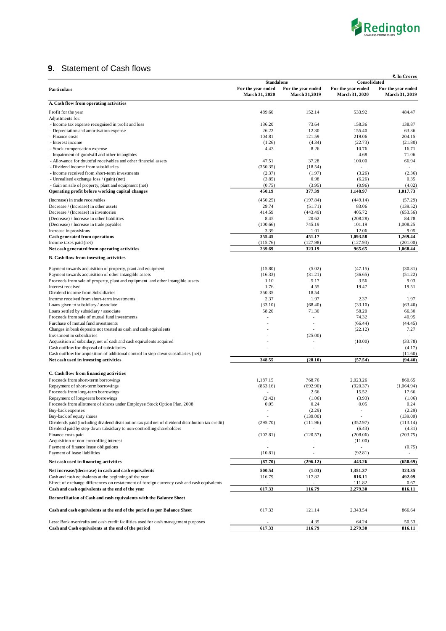

## **9.** Statement of Cash flows

|                                                                                                                                                                            |                                      |                                            |                                             | ₹. In Crores                         |
|----------------------------------------------------------------------------------------------------------------------------------------------------------------------------|--------------------------------------|--------------------------------------------|---------------------------------------------|--------------------------------------|
|                                                                                                                                                                            | <b>Standalone</b>                    |                                            | Consolidated                                |                                      |
| Particulars                                                                                                                                                                | For the year ended<br>March 31, 2020 | For the year ended<br><b>March 31,2019</b> | For the year ended<br><b>March 31, 2020</b> | For the year ended<br>March 31, 2019 |
| A. Cash flow from operating activities                                                                                                                                     |                                      |                                            |                                             |                                      |
| Profit for the year                                                                                                                                                        | 489.60                               | 152.14                                     | 533.92                                      | 484.47                               |
| Adjustments for:                                                                                                                                                           |                                      |                                            |                                             |                                      |
| - Income tax expense recognised in profit and loss                                                                                                                         | 136.20                               | 73.64                                      | 158.36                                      | 138.87                               |
| - Depreciation and amortisation expense                                                                                                                                    | 26.22                                | 12.30                                      | 155.40                                      | 63.36                                |
| - Finance costs                                                                                                                                                            | 104.81                               | 121.59                                     | 219.06                                      | 204.15                               |
| - Interest income                                                                                                                                                          | (1.26)                               | (4.34)                                     | (22.73)                                     | (21.80)                              |
| - Stock compensation expense<br>- Impairment of goodwill and other intangibles                                                                                             | 4.43                                 | 8.26                                       | 10.76<br>4.68                               | 16.71<br>71.06                       |
| - Allowance for doubtful receivables and other financial assets                                                                                                            | 47.51                                | 37.28                                      | 100.00                                      | 66.94                                |
| - Dividend income from subsidiaries                                                                                                                                        | (350.35)                             | (18.54)                                    |                                             |                                      |
| - Income received from short-term investments                                                                                                                              | (2.37)                               | (1.97)                                     | (3.26)                                      | (2.36)                               |
| - Unrealised exchange loss / (gain) (net)                                                                                                                                  | (3.85)                               | 0.98                                       | (6.26)                                      | 0.35                                 |
| - Gain on sale of property, plant and equipment (net)                                                                                                                      | (0.75)                               | (3.95)                                     | (0.96)                                      | (4.02)                               |
| Operating profit before working capital changes                                                                                                                            | 450.19                               | 377.39                                     | 1,148.97                                    | 1,017.73                             |
| (Increase) in trade receivables                                                                                                                                            | (450.25)                             | (197.84)                                   | (449.14)                                    | (57.29)                              |
| Decrease / (Increase) in other assets                                                                                                                                      | 29.74                                | (51.71)                                    | 83.06                                       | (139.52)                             |
| Decrease / (Increase) in inventories                                                                                                                                       | 414.59                               | (443.49)                                   | 405.72                                      | (653.56)                             |
| (Decrease) / Increase in other liabilities                                                                                                                                 | 8.45                                 | 20.62                                      | (208.28)                                    | 84.78                                |
| (Decrease) / Increase in trade payables                                                                                                                                    | (100.66)                             | 745.19                                     | 101.19                                      | 1,008.25                             |
| Increase in provisions<br>Cash generated from operations                                                                                                                   | 3.39<br>355.45                       | 1.01<br>451.17                             | 12.06<br>1,093.58                           | 9.05<br>1,269.44                     |
| Income taxes paid (net)                                                                                                                                                    | (115.76)                             | (127.98)                                   | (127.93)                                    | (201.00)                             |
| Net cash generated from operating activities                                                                                                                               | 239.69                               | 323.19                                     | 965.65                                      | 1,068.44                             |
| <b>B.</b> Cash flow from investing activities                                                                                                                              |                                      |                                            |                                             |                                      |
|                                                                                                                                                                            |                                      |                                            |                                             |                                      |
| Payment towards acquisition of property, plant and equipment                                                                                                               | (15.80)                              | (5.02)                                     | (47.15)                                     | (30.81)                              |
| Payment towards acquisition of other intangible assets                                                                                                                     | (16.33)                              | (31.21)                                    | (36.65)                                     | (51.22)                              |
| Proceeds from sale of property, plant and equipment and other intangible assets                                                                                            | 1.10                                 | 5.17                                       | 3.56                                        | 9.03                                 |
| Interest received<br>Dividend income from Subsidiaries                                                                                                                     | 1.76<br>350.35                       | 4.55<br>18.54                              | 19.47<br>L.                                 | 19.51                                |
| Income received from short-term investments                                                                                                                                | 2.37                                 | 1.97                                       | 2.37                                        | 1.97                                 |
| Loans given to subsidiary / associate                                                                                                                                      | (33.10)                              | (68.40)                                    | (33.10)                                     | (63.40)                              |
| Loans settled by subsidiary / associate                                                                                                                                    | 58.20                                | 71.30                                      | 58.20                                       | 66.30                                |
| Proceeds from sale of mutual fund investments                                                                                                                              |                                      |                                            | 74.32                                       | 40.95                                |
| Purchase of mutual fund investments                                                                                                                                        |                                      |                                            | (66.44)                                     | (44.45)                              |
| Changes in bank deposits not treated as cash and cash equivalents                                                                                                          |                                      |                                            | (22.12)                                     | 7.27                                 |
| Investment in subsidiaries                                                                                                                                                 |                                      | (25.00)                                    | í,                                          |                                      |
| Acquisition of subsidary, net of cash and cash equivalents acquired                                                                                                        |                                      |                                            | (10.00)                                     | (33.78)                              |
| Cash outflow for disposal of subsidiaries                                                                                                                                  |                                      |                                            |                                             | (4.17)                               |
| Cash outflow for acquisition of additional control in step-down subsidiaries (net)                                                                                         |                                      |                                            | J.                                          | (11.60)                              |
| Net cash used in investing activities                                                                                                                                      | 348.55                               | (28.10)                                    | (57.54)                                     | (94.40)                              |
| C. Cash flow from financing activities                                                                                                                                     |                                      |                                            |                                             |                                      |
| Proceeds from short-term borrowings                                                                                                                                        | 1,187.15                             | 768.76                                     | 2,023.26                                    | 860.65                               |
| Repayment of short-term borrowings                                                                                                                                         | (863.16)                             | (692.90)                                   | (920.37)                                    | (1.064.94)                           |
| Proceeds from long-term borrowings                                                                                                                                         |                                      | 2.66                                       | 15.52                                       | 17.66                                |
| Repayment of long-term borrowings                                                                                                                                          | (2.42)                               | (1.06)                                     | (3.93)                                      | (1.06)                               |
| Proceeds from allotment of shares under Employee Stock Option Plan, 2008                                                                                                   | 0.05                                 | 0.24                                       | 0.05                                        | 0.24                                 |
| Buy-back expenses                                                                                                                                                          |                                      | (2.29)                                     |                                             | (2.29)                               |
| Buy-back of equity shares                                                                                                                                                  | (295.70)                             | (139.00)                                   |                                             | (139.00)                             |
| Dividends paid (including dividend distribution tax paid net of dividend distribution tax credit)<br>Dividend paid by step-down subsidiary to non-controlling shareholders |                                      | (111.96)                                   | (352.97)<br>(6.43)                          | (113.14)<br>(4.31)                   |
| Finance costs paid                                                                                                                                                         | (102.81)                             | (120.57)                                   | (208.06)                                    | (203.75)                             |
| Acquisition of non-controlling interest                                                                                                                                    |                                      |                                            | (11.00)                                     |                                      |
| Payment of finance lease obligations                                                                                                                                       |                                      |                                            | $\overline{a}$                              | (0.75)                               |
| Payment of lease liabilities                                                                                                                                               | (10.81)                              |                                            | (92.81)                                     |                                      |
| Net cash used in financing activities                                                                                                                                      | (87.70)                              | (296.12)                                   | 443.26                                      | (650.69)                             |
| Net increase/(decrease) in cash and cash equivalents                                                                                                                       | 500.54                               | (1.03)                                     | 1,351.37                                    | 323.35                               |
| Cash and cash equivalents at the beginning of the year                                                                                                                     | 116.79                               | 117.82                                     | 816.11                                      | 492.09                               |
| Effect of exchange differences on restatement of foreign currency cash and cash equivalents                                                                                |                                      |                                            | 111.82                                      | 0.67                                 |
| Cash and cash equivalents at the end of the year                                                                                                                           | 617.33                               | 116.79                                     | 2,279.30                                    | 816.11                               |
| Reconciliation of Cash and cash equivalents with the Balance Sheet                                                                                                         |                                      |                                            |                                             |                                      |
| Cash and cash equivalents at the end of the period as per Balance Sheet                                                                                                    | 617.33                               | 121.14                                     | 2,343.54                                    | 866.64                               |
|                                                                                                                                                                            |                                      |                                            |                                             |                                      |
| Less: Bank overdrafts and cash credit facilities used for cash management purposes                                                                                         |                                      | 4.35                                       | 64.24                                       | 50.53                                |
| Cash and Cash equivalents at the end of the period                                                                                                                         | 617.33                               | 116.79                                     | 2,279.30                                    | 816.11                               |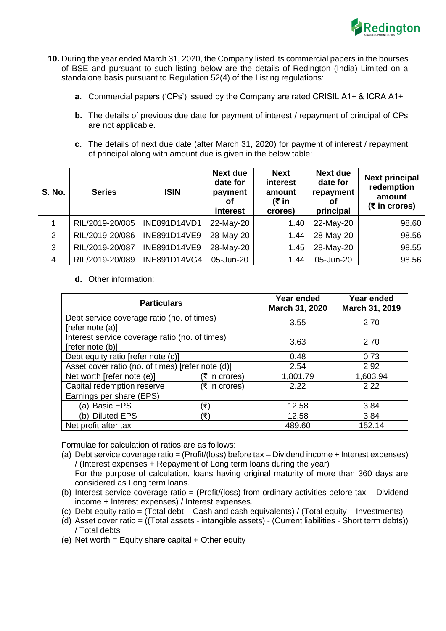

- **10.** During the year ended March 31, 2020, the Company listed its commercial papers in the bourses of BSE and pursuant to such listing below are the details of Redington (India) Limited on a standalone basis pursuant to Regulation 52(4) of the Listing regulations:
	- **a.** Commercial papers ('CPs') issued by the Company are rated CRISIL A1+ & ICRA A1+
	- **b.** The details of previous due date for payment of interest / repayment of principal of CPs are not applicable.
	- **c.** The details of next due date (after March 31, 2020) for payment of interest / repayment of principal along with amount due is given in the below table:

| <b>S. No.</b>  | <b>Series</b>   | <b>ISIN</b>         | <b>Next due</b><br>date for<br>payment<br>Οt<br>interest | <b>Next</b><br>interest<br>amount<br>(₹ in<br>crores) | <b>Next due</b><br>date for<br>repayment<br>Οt<br>principal | <b>Next principal</b><br>redemption<br>amount<br>$(5$ in crores) |
|----------------|-----------------|---------------------|----------------------------------------------------------|-------------------------------------------------------|-------------------------------------------------------------|------------------------------------------------------------------|
|                | RIL/2019-20/085 | INE891D14VD1        | 22-May-20                                                | 1.40                                                  | 22-May-20                                                   | 98.60                                                            |
| 2              | RIL/2019-20/086 | <b>INE891D14VE9</b> | 28-May-20                                                | 1.44                                                  | 28-May-20                                                   | 98.56                                                            |
| 3              | RIL/2019-20/087 | <b>INE891D14VE9</b> | 28-May-20                                                | 1.45                                                  | 28-May-20                                                   | 98.55                                                            |
| $\overline{4}$ | RIL/2019-20/089 | INE891D14VG4        | 05-Jun-20                                                | 1.44                                                  | 05-Jun-20                                                   | 98.56                                                            |

**d.** Other information:

| <b>Particulars</b>                                                 |               | Year ended<br>March 31, 2020 | Year ended<br>March 31, 2019 |  |
|--------------------------------------------------------------------|---------------|------------------------------|------------------------------|--|
| Debt service coverage ratio (no. of times)<br>[refer note (a)]     |               | 3.55                         | 2.70                         |  |
| Interest service coverage ratio (no. of times)<br>[refer note (b)] |               | 3.63                         | 2.70                         |  |
| Debt equity ratio [refer note (c)]                                 |               | 0.48                         | 0.73                         |  |
| Asset cover ratio (no. of times) [refer note (d)]                  |               | 2.54                         | 2.92                         |  |
| Net worth [refer note (e)]                                         | (₹ in crores) | 1,801.79                     | 1,603.94                     |  |
| Capital redemption reserve                                         | (₹ in crores) | 2.22                         | 2.22                         |  |
| Earnings per share (EPS)                                           |               |                              |                              |  |
| (a) Basic EPS                                                      | ′₹)           | 12.58                        | 3.84                         |  |
| (b) Diluted EPS                                                    | ′₹`           | 12.58                        | 3.84                         |  |
| Net profit after tax                                               |               | 489.60                       | 152.14                       |  |

Formulae for calculation of ratios are as follows:

(a) Debt service coverage ratio = (Profit/(loss) before tax – Dividend income + Interest expenses) / (Interest expenses + Repayment of Long term loans during the year)

For the purpose of calculation, loans having original maturity of more than 360 days are considered as Long term loans.

- (b) Interest service coverage ratio = (Profit/(loss) from ordinary activities before tax Dividend income + Interest expenses) / Interest expenses.
- (c) Debt equity ratio = (Total debt Cash and cash equivalents) / (Total equity Investments)
- (d) Asset cover ratio = ((Total assets intangible assets) (Current liabilities Short term debts)) / Total debts

(e) Net worth = Equity share capital  $+$  Other equity